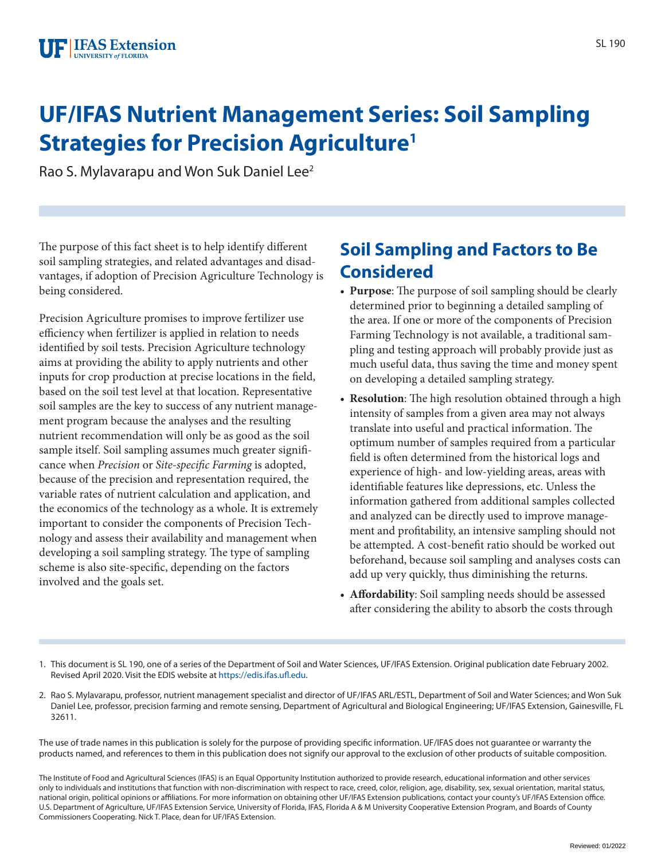# **UF/IFAS Nutrient Management Series: Soil Sampling Strategies for Precision Agriculture1**

Rao S. Mylavarapu and Won Suk Daniel Lee2

The purpose of this fact sheet is to help identify different soil sampling strategies, and related advantages and disadvantages, if adoption of Precision Agriculture Technology is being considered.

Precision Agriculture promises to improve fertilizer use efficiency when fertilizer is applied in relation to needs identified by soil tests. Precision Agriculture technology aims at providing the ability to apply nutrients and other inputs for crop production at precise locations in the field, based on the soil test level at that location. Representative soil samples are the key to success of any nutrient management program because the analyses and the resulting nutrient recommendation will only be as good as the soil sample itself. Soil sampling assumes much greater significance when *Precision* or *Site-specific Farming* is adopted, because of the precision and representation required, the variable rates of nutrient calculation and application, and the economics of the technology as a whole. It is extremely important to consider the components of Precision Technology and assess their availability and management when developing a soil sampling strategy. The type of sampling scheme is also site-specific, depending on the factors involved and the goals set.

# **Soil Sampling and Factors to Be Considered**

- **Purpose**: The purpose of soil sampling should be clearly determined prior to beginning a detailed sampling of the area. If one or more of the components of Precision Farming Technology is not available, a traditional sampling and testing approach will probably provide just as much useful data, thus saving the time and money spent on developing a detailed sampling strategy.
- **Resolution**: The high resolution obtained through a high intensity of samples from a given area may not always translate into useful and practical information. The optimum number of samples required from a particular field is often determined from the historical logs and experience of high- and low-yielding areas, areas with identifiable features like depressions, etc. Unless the information gathered from additional samples collected and analyzed can be directly used to improve management and profitability, an intensive sampling should not be attempted. A cost-benefit ratio should be worked out beforehand, because soil sampling and analyses costs can add up very quickly, thus diminishing the returns.
- **Affordability**: Soil sampling needs should be assessed after considering the ability to absorb the costs through

1. This document is SL 190, one of a series of the Department of Soil and Water Sciences, UF/IFAS Extension. Original publication date February 2002. Revised April 2020. Visit the EDIS website at [https://edis.ifas.ufl.edu.](https://edis.ifas.ufl.edu)

2. Rao S. Mylavarapu, professor, nutrient management specialist and director of UF/IFAS ARL/ESTL, Department of Soil and Water Sciences; and Won Suk Daniel Lee, professor, precision farming and remote sensing, Department of Agricultural and Biological Engineering; UF/IFAS Extension, Gainesville, FL 32611.

The use of trade names in this publication is solely for the purpose of providing specific information. UF/IFAS does not guarantee or warranty the products named, and references to them in this publication does not signify our approval to the exclusion of other products of suitable composition.

The Institute of Food and Agricultural Sciences (IFAS) is an Equal Opportunity Institution authorized to provide research, educational information and other services only to individuals and institutions that function with non-discrimination with respect to race, creed, color, religion, age, disability, sex, sexual orientation, marital status, national origin, political opinions or affiliations. For more information on obtaining other UF/IFAS Extension publications, contact your county's UF/IFAS Extension office. U.S. Department of Agriculture, UF/IFAS Extension Service, University of Florida, IFAS, Florida A & M University Cooperative Extension Program, and Boards of County Commissioners Cooperating. Nick T. Place, dean for UF/IFAS Extension.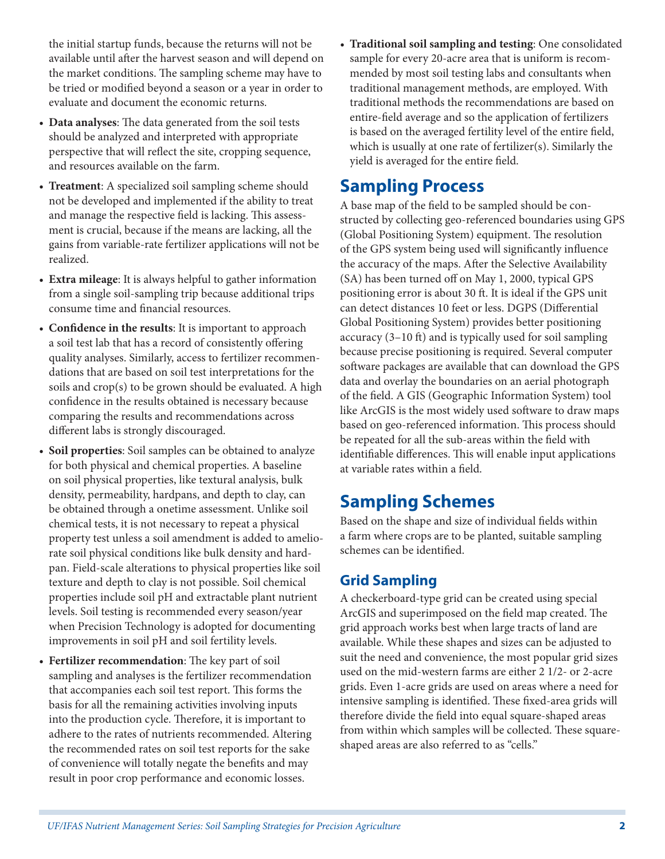the initial startup funds, because the returns will not be available until after the harvest season and will depend on the market conditions. The sampling scheme may have to be tried or modified beyond a season or a year in order to evaluate and document the economic returns.

- **Data analyses**: The data generated from the soil tests should be analyzed and interpreted with appropriate perspective that will reflect the site, cropping sequence, and resources available on the farm.
- **Treatment**: A specialized soil sampling scheme should not be developed and implemented if the ability to treat and manage the respective field is lacking. This assessment is crucial, because if the means are lacking, all the gains from variable-rate fertilizer applications will not be realized.
- **Extra mileage**: It is always helpful to gather information from a single soil-sampling trip because additional trips consume time and financial resources.
- **Confidence in the results**: It is important to approach a soil test lab that has a record of consistently offering quality analyses. Similarly, access to fertilizer recommendations that are based on soil test interpretations for the soils and crop(s) to be grown should be evaluated. A high confidence in the results obtained is necessary because comparing the results and recommendations across different labs is strongly discouraged.
- **Soil properties**: Soil samples can be obtained to analyze for both physical and chemical properties. A baseline on soil physical properties, like textural analysis, bulk density, permeability, hardpans, and depth to clay, can be obtained through a onetime assessment. Unlike soil chemical tests, it is not necessary to repeat a physical property test unless a soil amendment is added to ameliorate soil physical conditions like bulk density and hardpan. Field-scale alterations to physical properties like soil texture and depth to clay is not possible. Soil chemical properties include soil pH and extractable plant nutrient levels. Soil testing is recommended every season/year when Precision Technology is adopted for documenting improvements in soil pH and soil fertility levels.
- **Fertilizer recommendation**: The key part of soil sampling and analyses is the fertilizer recommendation that accompanies each soil test report. This forms the basis for all the remaining activities involving inputs into the production cycle. Therefore, it is important to adhere to the rates of nutrients recommended. Altering the recommended rates on soil test reports for the sake of convenience will totally negate the benefits and may result in poor crop performance and economic losses.

• **Traditional soil sampling and testing**: One consolidated sample for every 20-acre area that is uniform is recommended by most soil testing labs and consultants when traditional management methods, are employed. With traditional methods the recommendations are based on entire-field average and so the application of fertilizers is based on the averaged fertility level of the entire field, which is usually at one rate of fertilizer(s). Similarly the yield is averaged for the entire field.

### **Sampling Process**

A base map of the field to be sampled should be constructed by collecting geo-referenced boundaries using GPS (Global Positioning System) equipment. The resolution of the GPS system being used will significantly influence the accuracy of the maps. After the Selective Availability (SA) has been turned off on May 1, 2000, typical GPS positioning error is about 30 ft. It is ideal if the GPS unit can detect distances 10 feet or less. DGPS (Differential Global Positioning System) provides better positioning accuracy (3–10 ft) and is typically used for soil sampling because precise positioning is required. Several computer software packages are available that can download the GPS data and overlay the boundaries on an aerial photograph of the field. A GIS (Geographic Information System) tool like ArcGIS is the most widely used software to draw maps based on geo-referenced information. This process should be repeated for all the sub-areas within the field with identifiable differences. This will enable input applications at variable rates within a field.

## **Sampling Schemes**

Based on the shape and size of individual fields within a farm where crops are to be planted, suitable sampling schemes can be identified.

#### **Grid Sampling**

A checkerboard-type grid can be created using special ArcGIS and superimposed on the field map created. The grid approach works best when large tracts of land are available. While these shapes and sizes can be adjusted to suit the need and convenience, the most popular grid sizes used on the mid-western farms are either 2 1/2- or 2-acre grids. Even 1-acre grids are used on areas where a need for intensive sampling is identified. These fixed-area grids will therefore divide the field into equal square-shaped areas from within which samples will be collected. These squareshaped areas are also referred to as "cells."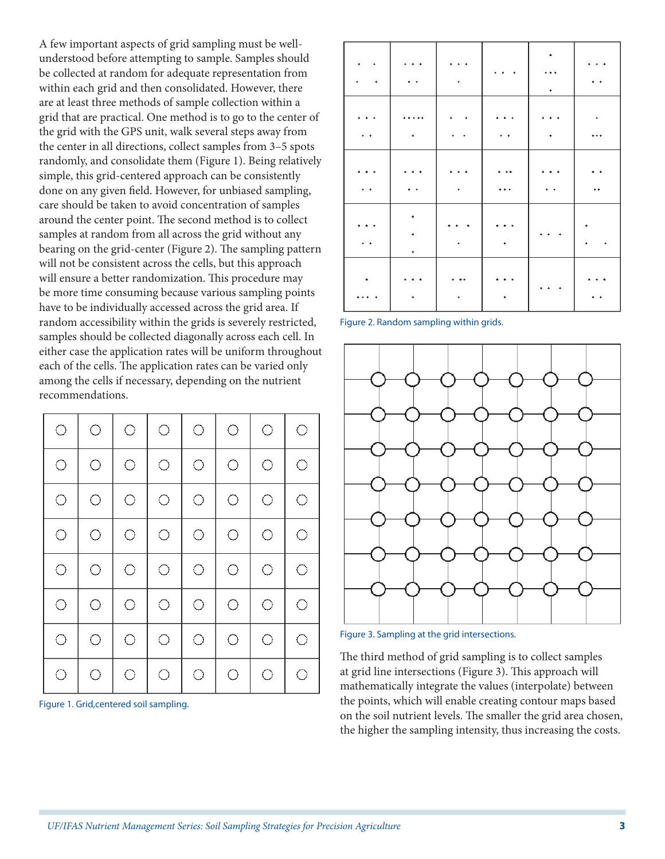A few important aspects of grid sampling must be wellunderstood before attempting to sample. Samples should be collected at random for adequate representation from within each grid and then consolidated. However, there are at least three methods of sample collection within a grid that are practical. One method is to go to the center of the grid with the GPS unit, walk several steps away from the center in all directions, collect samples from 3–5 spots randomly, and consolidate them (Figure 1). Being relatively simple, this grid-centered approach can be consistently done on any given field. However, for unbiased sampling, care should be taken to avoid concentration of samples around the center point. The second method is to collect samples at random from all across the grid without any bearing on the grid-center (Figure 2). The sampling pattern will not be consistent across the cells, but this approach will ensure a better randomization. This procedure may be more time consuming because various sampling points have to be individually accessed across the grid area. If random accessibility within the grids is severely restricted, samples should be collected diagonally across each cell. In either case the application rates will be uniform throughout each of the cells. The application rates can be varied only among the cells if necessary, depending on the nutrient recommendations.

| $\bigcirc$ | $\bigcirc$ | $\bigcirc$ | $\bigcirc$ | $\bigcirc$ | $\bigcirc$ | $\bigcirc$ | $\bigcirc$ |
|------------|------------|------------|------------|------------|------------|------------|------------|
| $\bigcirc$ | $\bigcirc$ | $\bigcirc$ | $\bigcirc$ | $\bigcirc$ | $\bigcirc$ | O          | O          |
| $\bigcirc$ | $\bigcirc$ | $\bigcirc$ | $\bigcirc$ | $\bigcirc$ | $\bigcirc$ | O          | O          |
| $\bigcirc$ | $\bigcirc$ | $\bigcirc$ | $\bigcirc$ | $\bigcirc$ | $\bigcirc$ | $\bigcirc$ | $\bigcirc$ |
| $\bigcirc$ | $\bigcirc$ | $\bigcirc$ | $\bigcirc$ | $\bigcirc$ | $\bigcirc$ | O          | O          |
| $\bigcirc$ | $\bigcirc$ | $\bigcirc$ | $\bigcirc$ | $\bigcirc$ | $\bigcirc$ | O          | O          |
| $\bigcirc$ | $\bigcirc$ | $\bigcirc$ | O          | $\bigcirc$ | $\bigcirc$ | О          | $\bigcirc$ |
| $\bigcirc$ | О          | O          | O          | $\bigcirc$ | $\bigcirc$ | О          | O          |

Figure 1. Grid,centered soil sampling.

|   | ٠                        | ٠<br>$\rightarrow$ | $\ddotmark$ |  |
|---|--------------------------|--------------------|-------------|--|
|   | ٠<br>٠<br>٠              |                    |             |  |
|   | $\bullet$ $\bullet$<br>٠ |                    | ٠           |  |
| ٠ |                          |                    |             |  |
|   |                          |                    |             |  |

Figure 2. Random sampling within grids.



Figure 3. Sampling at the grid intersections.

The third method of grid sampling is to collect samples at grid line intersections (Figure 3). This approach will mathematically integrate the values (interpolate) between the points, which will enable creating contour maps based on the soil nutrient levels. The smaller the grid area chosen, the higher the sampling intensity, thus increasing the costs.